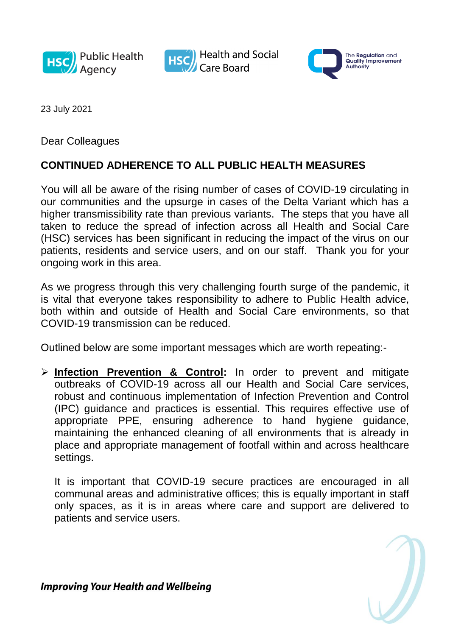





23 July 2021

Dear Colleagues

## **CONTINUED ADHERENCE TO ALL PUBLIC HEALTH MEASURES**

You will all be aware of the rising number of cases of COVID-19 circulating in our communities and the upsurge in cases of the Delta Variant which has a higher transmissibility rate than previous variants. The steps that you have all taken to reduce the spread of infection across all Health and Social Care (HSC) services has been significant in reducing the impact of the virus on our patients, residents and service users, and on our staff. Thank you for your ongoing work in this area.

As we progress through this very challenging fourth surge of the pandemic, it is vital that everyone takes responsibility to adhere to Public Health advice, both within and outside of Health and Social Care environments, so that COVID-19 transmission can be reduced.

Outlined below are some important messages which are worth repeating:-

 **Infection Prevention & Control:** In order to prevent and mitigate outbreaks of COVID-19 across all our Health and Social Care services, robust and continuous implementation of Infection Prevention and Control (IPC) guidance and practices is essential. This requires effective use of appropriate PPE, ensuring adherence to hand hygiene guidance, maintaining the enhanced cleaning of all environments that is already in place and appropriate management of footfall within and across healthcare settings.

It is important that COVID-19 secure practices are encouraged in all communal areas and administrative offices; this is equally important in staff only spaces, as it is in areas where care and support are delivered to patients and service users.

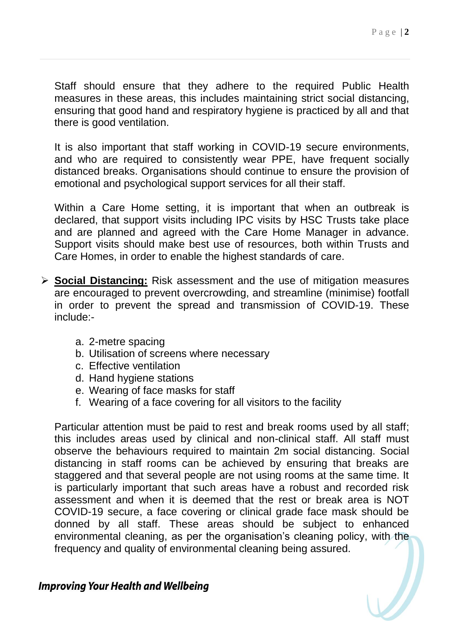Staff should ensure that they adhere to the required Public Health measures in these areas, this includes maintaining strict social distancing, ensuring that good hand and respiratory hygiene is practiced by all and that there is good ventilation.

It is also important that staff working in COVID-19 secure environments, and who are required to consistently wear PPE, have frequent socially distanced breaks. Organisations should continue to ensure the provision of emotional and psychological support services for all their staff.

Within a Care Home setting, it is important that when an outbreak is declared, that support visits including IPC visits by HSC Trusts take place and are planned and agreed with the Care Home Manager in advance. Support visits should make best use of resources, both within Trusts and Care Homes, in order to enable the highest standards of care.

- **Social Distancing:** Risk assessment and the use of mitigation measures are encouraged to prevent overcrowding, and streamline (minimise) footfall in order to prevent the spread and transmission of COVID-19. These include:
	- a. 2-metre spacing
	- b. Utilisation of screens where necessary
	- c. Effective ventilation
	- d. Hand hygiene stations
	- e. Wearing of face masks for staff
	- f. Wearing of a face covering for all visitors to the facility

Particular attention must be paid to rest and break rooms used by all staff; this includes areas used by clinical and non-clinical staff. All staff must observe the behaviours required to maintain 2m social distancing. Social distancing in staff rooms can be achieved by ensuring that breaks are staggered and that several people are not using rooms at the same time. It is particularly important that such areas have a robust and recorded risk assessment and when it is deemed that the rest or break area is NOT COVID-19 secure, a face covering or clinical grade face mask should be donned by all staff. These areas should be subject to enhanced environmental cleaning, as per the organisation's cleaning policy, with the frequency and quality of environmental cleaning being assured.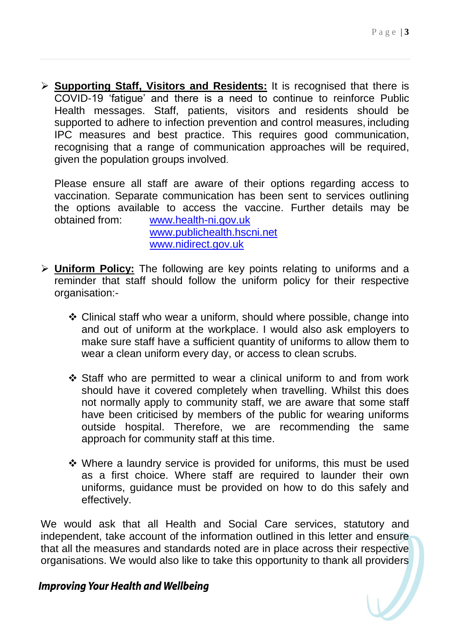**Supporting Staff, Visitors and Residents:** It is recognised that there is COVID-19 'fatigue' and there is a need to continue to reinforce Public Health messages. Staff, patients, visitors and residents should be supported to adhere to infection prevention and control measures, including IPC measures and best practice. This requires good communication, recognising that a range of communication approaches will be required, given the population groups involved.

Please ensure all staff are aware of their options regarding access to vaccination. Separate communication has been sent to services outlining the options available to access the vaccine. Further details may be obtained from: [www.health-ni.gov.uk](http://www.health-ni.gov.uk/) [www.publichealth.hscni.net](http://www.publichealth.hscni.net/) [www.nidirect.gov.uk](http://www.nidirect.gov.uk/)

- **Uniform Policy:** The following are key points relating to uniforms and a reminder that staff should follow the uniform policy for their respective organisation:-
	- Clinical staff who wear a uniform, should where possible, change into and out of uniform at the workplace. I would also ask employers to make sure staff have a sufficient quantity of uniforms to allow them to wear a clean uniform every day, or access to clean scrubs.
	- Staff who are permitted to wear a clinical uniform to and from work should have it covered completely when travelling. Whilst this does not normally apply to community staff, we are aware that some staff have been criticised by members of the public for wearing uniforms outside hospital. Therefore, we are recommending the same approach for community staff at this time.
	- Where a laundry service is provided for uniforms, this must be used as a first choice. Where staff are required to launder their own uniforms, guidance must be provided on how to do this safely and effectively.

We would ask that all Health and Social Care services, statutory and independent, take account of the information outlined in this letter and ensure that all the measures and standards noted are in place across their respective organisations. We would also like to take this opportunity to thank all providers